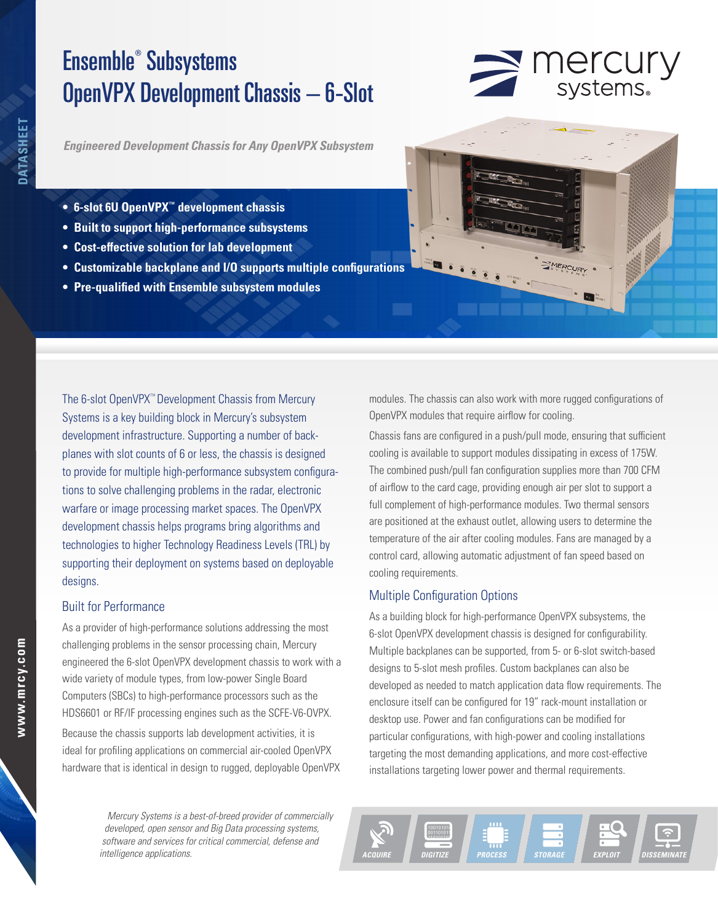# Ensemble® Subsystems OpenVPX Development Chassis – 6-Slot



*Engineered Development Chassis for Any OpenVPX Subsystem*

- **• 6-slot 6U OpenVPX™ development chassis**
- **• Built to support high-performance subsystems**
- **• Cost-effective solution for lab development**
- **• Customizable backplane and I/O supports multiple configurations**
- **• Pre-qualified with Ensemble subsystem modules**

The 6-slot OpenVPX™ Development Chassis from Mercury Systems is a key building block in Mercury's subsystem development infrastructure. Supporting a number of backplanes with slot counts of 6 or less, the chassis is designed to provide for multiple high-performance subsystem configurations to solve challenging problems in the radar, electronic warfare or image processing market spaces. The OpenVPX development chassis helps programs bring algorithms and technologies to higher Technology Readiness Levels (TRL) by supporting their deployment on systems based on deployable designs.

### Built for Performance

As a provider of high-performance solutions addressing the most challenging problems in the sensor processing chain, Mercury engineered the 6-slot OpenVPX development chassis to work with a wide variety of module types, from low-power Single Board Computers (SBCs) to high-performance processors such as the HDS6601 or RF/IF processing engines such as the SCFE-V6-OVPX.

Because the chassis supports lab development activities, it is ideal for profiling applications on commercial air-cooled OpenVPX hardware that is identical in design to rugged, deployable OpenVPX

> Mercury Systems is a best-of-breed provider of commercially developed, open sensor and Big Data processing systems, software and services for critical commercial, defense and intelligence applications.

modules. The chassis can also work with more rugged configurations of OpenVPX modules that require airflow for cooling.

Chassis fans are configured in a push/pull mode, ensuring that sufficient cooling is available to support modules dissipating in excess of 175W. The combined push/pull fan configuration supplies more than 700 CFM of airflow to the card cage, providing enough air per slot to support a full complement of high-performance modules. Two thermal sensors are positioned at the exhaust outlet, allowing users to determine the temperature of the air after cooling modules. Fans are managed by a control card, allowing automatic adjustment of fan speed based on cooling requirements.

## Multiple Configuration Options

As a building block for high-performance OpenVPX subsystems, the 6-slot OpenVPX development chassis is designed for configurability. Multiple backplanes can be supported, from 5- or 6-slot switch-based designs to 5-slot mesh profiles. Custom backplanes can also be developed as needed to match application data flow requirements. The enclosure itself can be configured for 19" rack-mount installation or desktop use. Power and fan configurations can be modified for particular configurations, with high-power and cooling installations targeting the most demanding applications, and more cost-effective installations targeting lower power and thermal requirements.

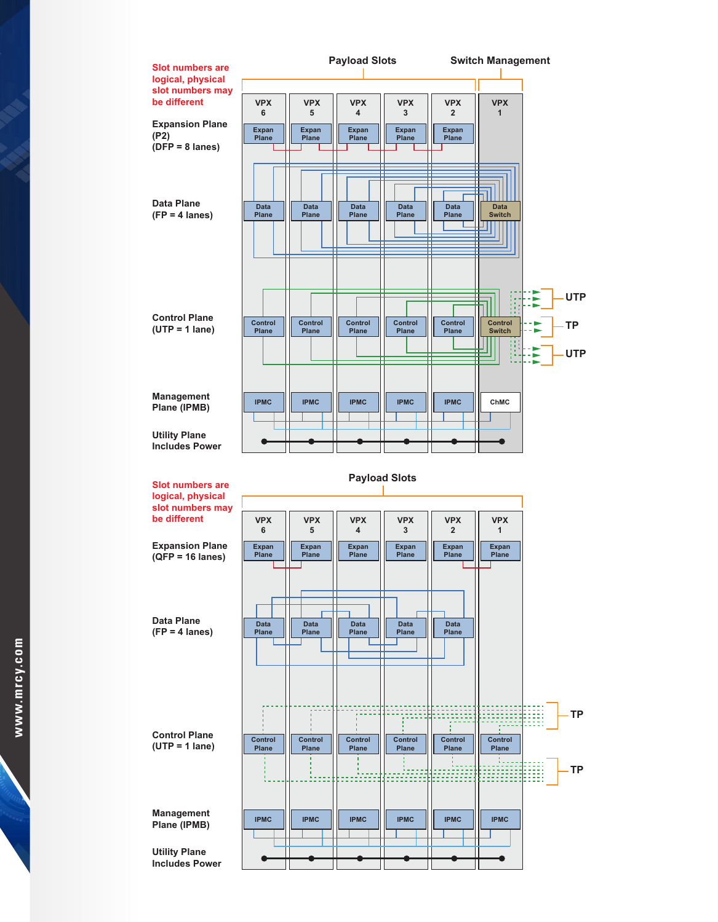